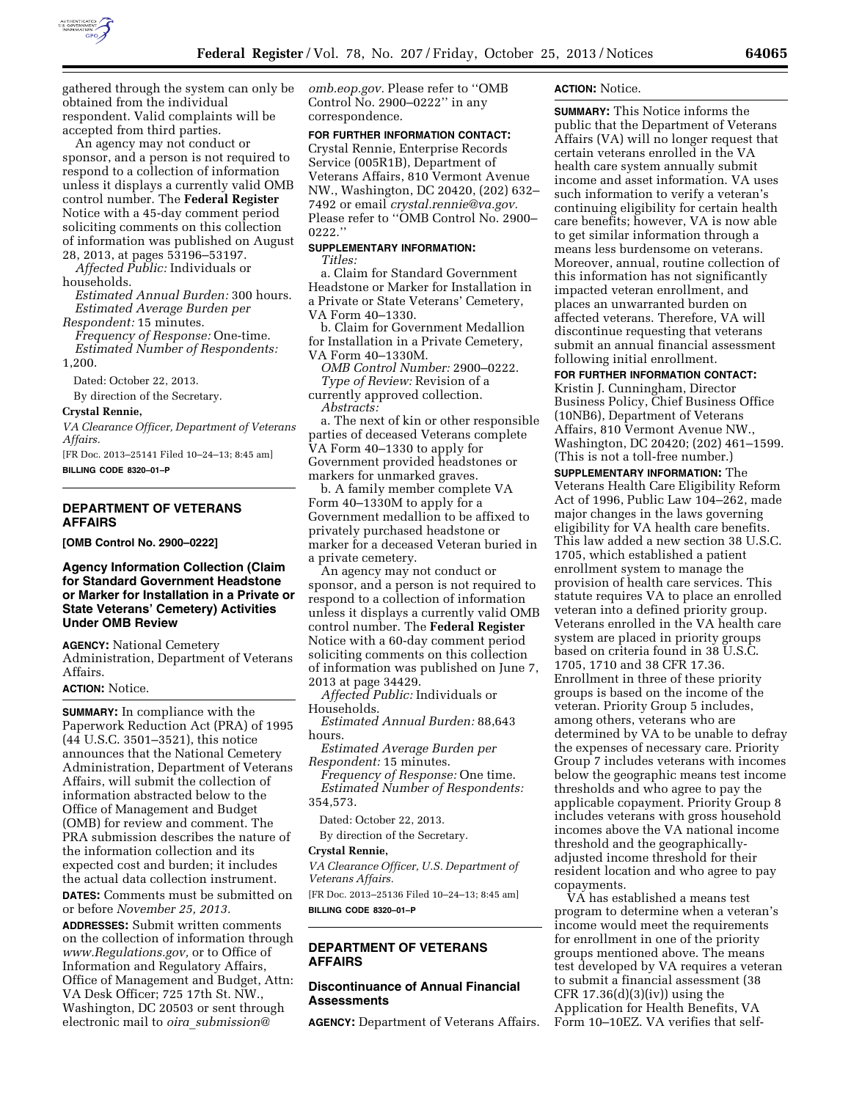

gathered through the system can only be obtained from the individual respondent. Valid complaints will be accepted from third parties.

An agency may not conduct or sponsor, and a person is not required to respond to a collection of information unless it displays a currently valid OMB control number. The **Federal Register**  Notice with a 45-day comment period soliciting comments on this collection of information was published on August 28, 2013, at pages 53196–53197.

*Affected Public:* Individuals or households.

*Estimated Annual Burden:* 300 hours. *Estimated Average Burden per* 

*Respondent:* 15 minutes. *Frequency of Response:* One-time. *Estimated Number of Respondents:* 

1,200.

Dated: October 22, 2013.

By direction of the Secretary.

### **Crystal Rennie,**

*VA Clearance Officer, Department of Veterans Affairs.* 

[FR Doc. 2013–25141 Filed 10–24–13; 8:45 am] **BILLING CODE 8320–01–P** 

## **DEPARTMENT OF VETERANS AFFAIRS**

**[OMB Control No. 2900–0222]** 

### **Agency Information Collection (Claim for Standard Government Headstone or Marker for Installation in a Private or State Veterans' Cemetery) Activities Under OMB Review**

**AGENCY:** National Cemetery Administration, Department of Veterans Affairs.

# **ACTION:** Notice.

**SUMMARY:** In compliance with the Paperwork Reduction Act (PRA) of 1995 (44 U.S.C. 3501–3521), this notice announces that the National Cemetery Administration, Department of Veterans Affairs, will submit the collection of information abstracted below to the Office of Management and Budget (OMB) for review and comment. The PRA submission describes the nature of the information collection and its expected cost and burden; it includes the actual data collection instrument. **DATES:** Comments must be submitted on or before *November 25, 2013.* 

**ADDRESSES:** Submit written comments on the collection of information through *[www.Regulations.gov,](http://www.Regulations.gov)* or to Office of Information and Regulatory Affairs, Office of Management and Budget, Attn: VA Desk Officer; 725 17th St. NW., Washington, DC 20503 or sent through electronic mail to *oira*\_*[submission@](mailto:oira_submission@omb.eop.gov)*

*[omb.eop.gov.](mailto:oira_submission@omb.eop.gov)* Please refer to ''OMB Control No. 2900–0222'' in any correspondence.

## **FOR FURTHER INFORMATION CONTACT:**

Crystal Rennie, Enterprise Records Service (005R1B), Department of Veterans Affairs, 810 Vermont Avenue NW., Washington, DC 20420, (202) 632– 7492 or email *[crystal.rennie@va.gov.](mailto:crystal.rennie@va.gov)*  Please refer to ''OMB Control No. 2900– 0222.''

#### **SUPPLEMENTARY INFORMATION:**

*Titles:* 

a. Claim for Standard Government Headstone or Marker for Installation in a Private or State Veterans' Cemetery, VA Form 40–1330.

b. Claim for Government Medallion for Installation in a Private Cemetery, VA Form 40–1330M.

*OMB Control Number:* 2900–0222. *Type of Review:* Revision of a

currently approved collection. *Abstracts:* 

a. The next of kin or other responsible parties of deceased Veterans complete VA Form 40–1330 to apply for Government provided headstones or markers for unmarked graves.

b. A family member complete VA Form 40–1330M to apply for a Government medallion to be affixed to privately purchased headstone or marker for a deceased Veteran buried in a private cemetery.

An agency may not conduct or sponsor, and a person is not required to respond to a collection of information unless it displays a currently valid OMB control number. The **Federal Register**  Notice with a 60-day comment period soliciting comments on this collection of information was published on June 7, 2013 at page 34429.

*Affected Public:* Individuals or Households.

*Estimated Annual Burden:* 88,643 hours.

*Estimated Average Burden per Respondent:* 15 minutes.

*Frequency of Response:* One time. *Estimated Number of Respondents:*  354,573.

Dated: October 22, 2013.

By direction of the Secretary.

### **Crystal Rennie,**

*VA Clearance Officer, U.S. Department of Veterans Affairs.* 

[FR Doc. 2013–25136 Filed 10–24–13; 8:45 am] **BILLING CODE 8320–01–P** 

# **DEPARTMENT OF VETERANS AFFAIRS**

## **Discontinuance of Annual Financial Assessments**

**AGENCY:** Department of Veterans Affairs.

#### **ACTION:** Notice.

**SUMMARY:** This Notice informs the public that the Department of Veterans Affairs (VA) will no longer request that certain veterans enrolled in the VA health care system annually submit income and asset information. VA uses such information to verify a veteran's continuing eligibility for certain health care benefits; however, VA is now able to get similar information through a means less burdensome on veterans. Moreover, annual, routine collection of this information has not significantly impacted veteran enrollment, and places an unwarranted burden on affected veterans. Therefore, VA will discontinue requesting that veterans submit an annual financial assessment following initial enrollment.

**FOR FURTHER INFORMATION CONTACT:** 

Kristin J. Cunningham, Director Business Policy, Chief Business Office (10NB6), Department of Veterans Affairs, 810 Vermont Avenue NW., Washington, DC 20420; (202) 461–1599. (This is not a toll-free number.)

**SUPPLEMENTARY INFORMATION:** The Veterans Health Care Eligibility Reform Act of 1996, Public Law 104–262, made major changes in the laws governing eligibility for VA health care benefits. This law added a new section 38 U.S.C. 1705, which established a patient enrollment system to manage the provision of health care services. This statute requires VA to place an enrolled veteran into a defined priority group. Veterans enrolled in the VA health care system are placed in priority groups based on criteria found in 38 U.S.C. 1705, 1710 and 38 CFR 17.36. Enrollment in three of these priority groups is based on the income of the veteran. Priority Group 5 includes, among others, veterans who are determined by VA to be unable to defray the expenses of necessary care. Priority Group 7 includes veterans with incomes below the geographic means test income thresholds and who agree to pay the applicable copayment. Priority Group 8 includes veterans with gross household incomes above the VA national income threshold and the geographicallyadjusted income threshold for their resident location and who agree to pay copayments.

VA has established a means test program to determine when a veteran's income would meet the requirements for enrollment in one of the priority groups mentioned above. The means test developed by VA requires a veteran to submit a financial assessment (38 CFR  $17.36(d)(3)(iv)$  using the Application for Health Benefits, VA Form 10–10EZ. VA verifies that self